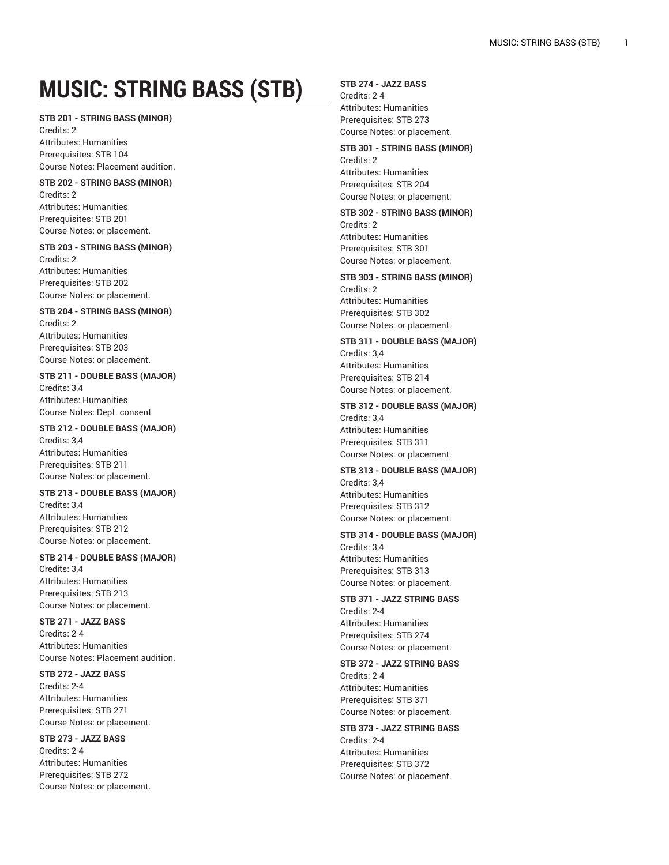# **MUSIC: STRING BASS (STB)**

#### **STB 201 - STRING BASS (MINOR)**

Credits: 2 Attributes: Humanities Prerequisites: STB 104 Course Notes: Placement audition.

#### **STB 202 - STRING BASS (MINOR)** Credits: 2

Attributes: Humanities Prerequisites: STB 201 Course Notes: or placement.

#### **STB 203 - STRING BASS (MINOR)** Credits: 2

Attributes: Humanities Prerequisites: STB 202 Course Notes: or placement.

## **STB 204 - STRING BASS (MINOR)**

Credits: 2 Attributes: Humanities Prerequisites: STB 203 Course Notes: or placement.

# **STB 211 - DOUBLE BASS (MAJOR)** Credits: 3,4

Attributes: Humanities Course Notes: Dept. consent

# **STB 212 - DOUBLE BASS (MAJOR)**

Credits: 3,4 Attributes: Humanities Prerequisites: STB 211 Course Notes: or placement.

## **STB 213 - DOUBLE BASS (MAJOR)** Credits: 3,4

Attributes: Humanities Prerequisites: STB 212 Course Notes: or placement.

# **STB 214 - DOUBLE BASS (MAJOR)**

Credits: 3,4 Attributes: Humanities Prerequisites: STB 213 Course Notes: or placement.

# **STB 271 - JAZZ BASS**

Credits: 2-4 Attributes: Humanities Course Notes: Placement audition.

#### **STB 272 - JAZZ BASS**

Credits: 2-4 Attributes: Humanities Prerequisites: STB 271 Course Notes: or placement.

## **STB 273 - JAZZ BASS** Credits: 2-4 Attributes: Humanities Prerequisites: STB 272

Course Notes: or placement.

# **STB 274 - JAZZ BASS**

Credits: 2-4 Attributes: Humanities Prerequisites: STB 273 Course Notes: or placement.

# **STB 301 - STRING BASS (MINOR)** Credits: 2 Attributes: Humanities

Prerequisites: STB 204 Course Notes: or placement. **STB 302 - STRING BASS (MINOR)**

Credits: 2 Attributes: Humanities Prerequisites: STB 301 Course Notes: or placement.

# **STB 303 - STRING BASS (MINOR)** Credits: 2 Attributes: Humanities Prerequisites: STB 302 Course Notes: or placement.

**STB 311 - DOUBLE BASS (MAJOR)** Credits: 3,4 Attributes: Humanities Prerequisites: STB 214 Course Notes: or placement.

## **STB 312 - DOUBLE BASS (MAJOR)** Credits: 3,4 Attributes: Humanities Prerequisites: STB 311 Course Notes: or placement.

**STB 313 - DOUBLE BASS (MAJOR)** Credits: 3,4 Attributes: Humanities Prerequisites: STB 312 Course Notes: or placement.

# **STB 314 - DOUBLE BASS (MAJOR)**

Credits: 3,4 Attributes: Humanities Prerequisites: STB 313 Course Notes: or placement.

# **STB 371 - JAZZ STRING BASS** Credits: 2-4 Attributes: Humanities Prerequisites: STB 274

Course Notes: or placement. **STB 372 - JAZZ STRING BASS** Credits: 2-4 Attributes: Humanities Prerequisites: STB 371 Course Notes: or placement.

# **STB 373 - JAZZ STRING BASS** Credits: 2-4 Attributes: Humanities Prerequisites: STB 372 Course Notes: or placement.